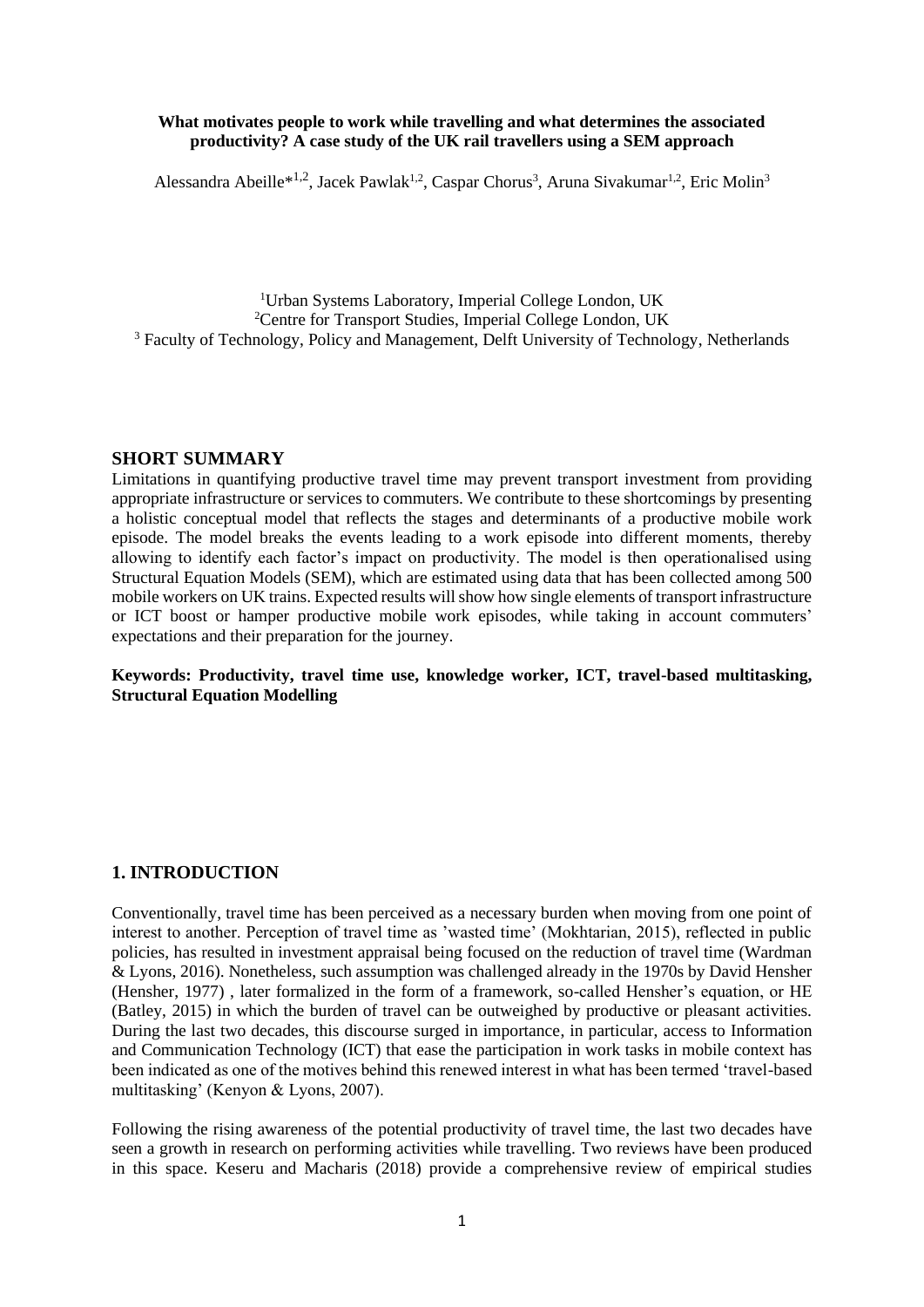#### **What motivates people to work while travelling and what determines the associated productivity? A case study of the UK rail travellers using a SEM approach**

Alessandra Abeille<sup>\*1,2</sup>, Jacek Pawlak<sup>1,2</sup>, Caspar Chorus<sup>3</sup>, Aruna Sivakumar<sup>1,2</sup>, Eric Molin<sup>3</sup>

<sup>1</sup>Urban Systems Laboratory, Imperial College London, UK <sup>2</sup>Centre for Transport Studies, Imperial College London, UK <sup>3</sup> Faculty of Technology, Policy and Management, Delft University of Technology, Netherlands

#### **SHORT SUMMARY**

Limitations in quantifying productive travel time may prevent transport investment from providing appropriate infrastructure or services to commuters. We contribute to these shortcomings by presenting a holistic conceptual model that reflects the stages and determinants of a productive mobile work episode. The model breaks the events leading to a work episode into different moments, thereby allowing to identify each factor's impact on productivity. The model is then operationalised using Structural Equation Models (SEM), which are estimated using data that has been collected among 500 mobile workers on UK trains. Expected results will show how single elements of transport infrastructure or ICT boost or hamper productive mobile work episodes, while taking in account commuters' expectations and their preparation for the journey.

**Keywords: Productivity, travel time use, knowledge worker, ICT, travel-based multitasking, Structural Equation Modelling** 

#### **1. INTRODUCTION**

Conventionally, travel time has been perceived as a necessary burden when moving from one point of interest to another. Perception of travel time as 'wasted time' (Mokhtarian, 2015), reflected in public policies, has resulted in investment appraisal being focused on the reduction of travel time (Wardman & Lyons, 2016). Nonetheless, such assumption was challenged already in the 1970s by David Hensher (Hensher, 1977) , later formalized in the form of a framework, so-called Hensher's equation, or HE (Batley, 2015) in which the burden of travel can be outweighed by productive or pleasant activities. During the last two decades, this discourse surged in importance, in particular, access to Information and Communication Technology (ICT) that ease the participation in work tasks in mobile context has been indicated as one of the motives behind this renewed interest in what has been termed 'travel-based multitasking' (Kenyon & Lyons, 2007).

Following the rising awareness of the potential productivity of travel time, the last two decades have seen a growth in research on performing activities while travelling. Two reviews have been produced in this space. Keseru and Macharis (2018) provide a comprehensive review of empirical studies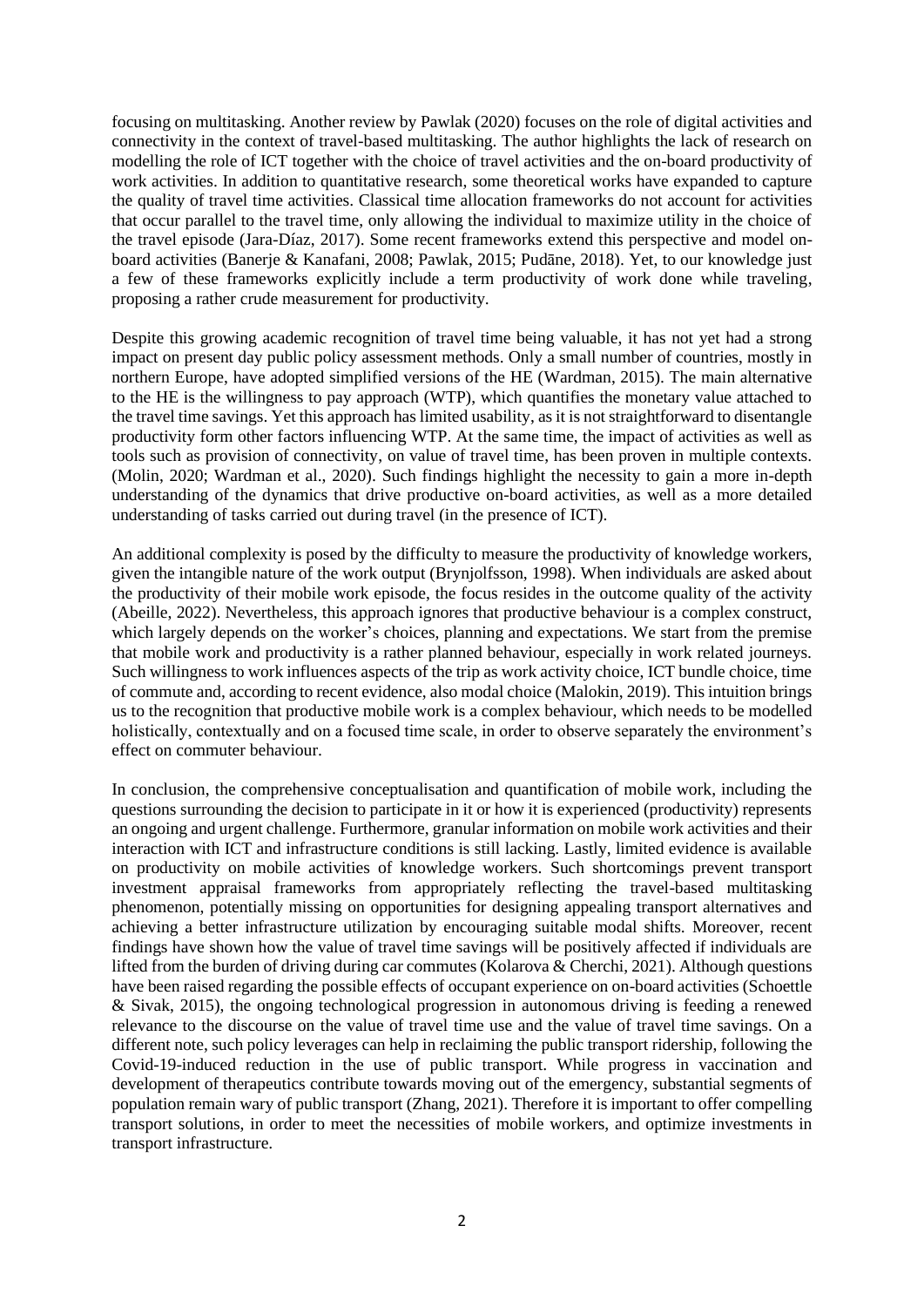focusing on multitasking. Another review by Pawlak (2020) focuses on the role of digital activities and connectivity in the context of travel-based multitasking. The author highlights the lack of research on modelling the role of ICT together with the choice of travel activities and the on-board productivity of work activities. In addition to quantitative research, some theoretical works have expanded to capture the quality of travel time activities. Classical time allocation frameworks do not account for activities that occur parallel to the travel time, only allowing the individual to maximize utility in the choice of the travel episode (Jara-Díaz, 2017). Some recent frameworks extend this perspective and model onboard activities (Banerje & Kanafani, 2008; Pawlak, 2015; Pudāne, 2018). Yet, to our knowledge just a few of these frameworks explicitly include a term productivity of work done while traveling, proposing a rather crude measurement for productivity.

Despite this growing academic recognition of travel time being valuable, it has not yet had a strong impact on present day public policy assessment methods. Only a small number of countries, mostly in northern Europe, have adopted simplified versions of the HE (Wardman, 2015). The main alternative to the HE is the willingness to pay approach (WTP), which quantifies the monetary value attached to the travel time savings. Yet this approach has limited usability, as it is not straightforward to disentangle productivity form other factors influencing WTP. At the same time, the impact of activities as well as tools such as provision of connectivity, on value of travel time, has been proven in multiple contexts. (Molin, 2020; Wardman et al., 2020). Such findings highlight the necessity to gain a more in-depth understanding of the dynamics that drive productive on-board activities, as well as a more detailed understanding of tasks carried out during travel (in the presence of ICT).

An additional complexity is posed by the difficulty to measure the productivity of knowledge workers, given the intangible nature of the work output (Brynjolfsson, 1998). When individuals are asked about the productivity of their mobile work episode, the focus resides in the outcome quality of the activity (Abeille, 2022). Nevertheless, this approach ignores that productive behaviour is a complex construct, which largely depends on the worker's choices, planning and expectations. We start from the premise that mobile work and productivity is a rather planned behaviour, especially in work related journeys. Such willingness to work influences aspects of the trip as work activity choice, ICT bundle choice, time of commute and, according to recent evidence, also modal choice (Malokin, 2019). This intuition brings us to the recognition that productive mobile work is a complex behaviour, which needs to be modelled holistically, contextually and on a focused time scale, in order to observe separately the environment's effect on commuter behaviour.

In conclusion, the comprehensive conceptualisation and quantification of mobile work, including the questions surrounding the decision to participate in it or how it is experienced (productivity) represents an ongoing and urgent challenge. Furthermore, granular information on mobile work activities and their interaction with ICT and infrastructure conditions is still lacking. Lastly, limited evidence is available on productivity on mobile activities of knowledge workers. Such shortcomings prevent transport investment appraisal frameworks from appropriately reflecting the travel-based multitasking phenomenon, potentially missing on opportunities for designing appealing transport alternatives and achieving a better infrastructure utilization by encouraging suitable modal shifts. Moreover, recent findings have shown how the value of travel time savings will be positively affected if individuals are lifted from the burden of driving during car commutes (Kolarova & Cherchi, 2021). Although questions have been raised regarding the possible effects of occupant experience on on-board activities (Schoettle & Sivak, 2015), the ongoing technological progression in autonomous driving is feeding a renewed relevance to the discourse on the value of travel time use and the value of travel time savings. On a different note, such policy leverages can help in reclaiming the public transport ridership, following the Covid-19-induced reduction in the use of public transport. While progress in vaccination and development of therapeutics contribute towards moving out of the emergency, substantial segments of population remain wary of public transport (Zhang, 2021). Therefore it is important to offer compelling transport solutions, in order to meet the necessities of mobile workers, and optimize investments in transport infrastructure.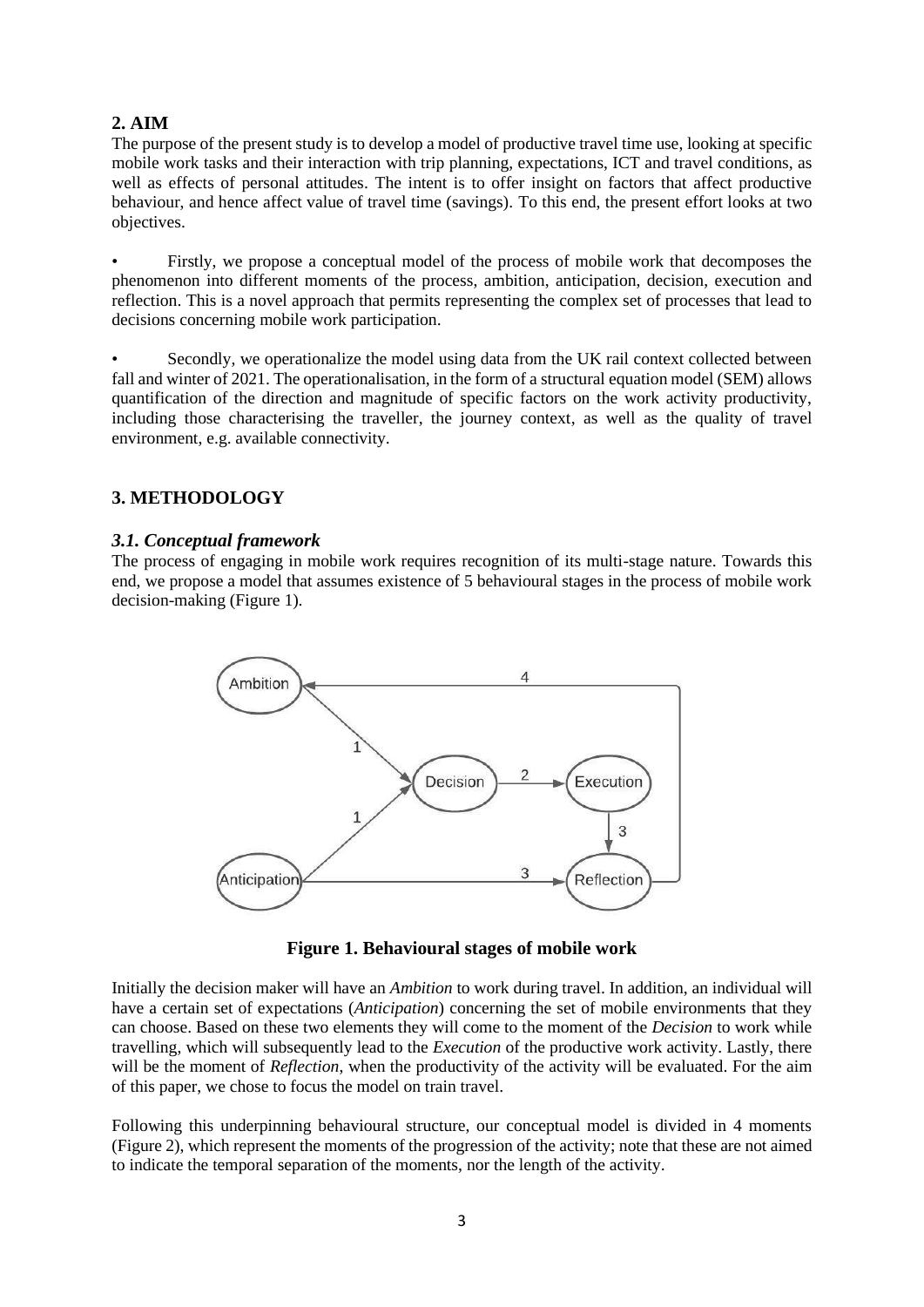# **2. AIM**

The purpose of the present study is to develop a model of productive travel time use, looking at specific mobile work tasks and their interaction with trip planning, expectations, ICT and travel conditions, as well as effects of personal attitudes. The intent is to offer insight on factors that affect productive behaviour, and hence affect value of travel time (savings). To this end, the present effort looks at two objectives.

• Firstly, we propose a conceptual model of the process of mobile work that decomposes the phenomenon into different moments of the process, ambition, anticipation, decision, execution and reflection. This is a novel approach that permits representing the complex set of processes that lead to decisions concerning mobile work participation.

Secondly, we operationalize the model using data from the UK rail context collected between fall and winter of 2021. The operationalisation, in the form of a structural equation model (SEM) allows quantification of the direction and magnitude of specific factors on the work activity productivity, including those characterising the traveller, the journey context, as well as the quality of travel environment, e.g. available connectivity.

# **3. METHODOLOGY**

## *3.1. Conceptual framework*

The process of engaging in mobile work requires recognition of its multi-stage nature. Towards this end, we propose a model that assumes existence of 5 behavioural stages in the process of mobile work decision-making (Figure 1).



**Figure 1. Behavioural stages of mobile work**

Initially the decision maker will have an *Ambition* to work during travel. In addition, an individual will have a certain set of expectations (*Anticipation*) concerning the set of mobile environments that they can choose. Based on these two elements they will come to the moment of the *Decision* to work while travelling, which will subsequently lead to the *Execution* of the productive work activity. Lastly, there will be the moment of *Reflection*, when the productivity of the activity will be evaluated. For the aim of this paper, we chose to focus the model on train travel.

Following this underpinning behavioural structure, our conceptual model is divided in 4 moments (Figure 2), which represent the moments of the progression of the activity; note that these are not aimed to indicate the temporal separation of the moments, nor the length of the activity.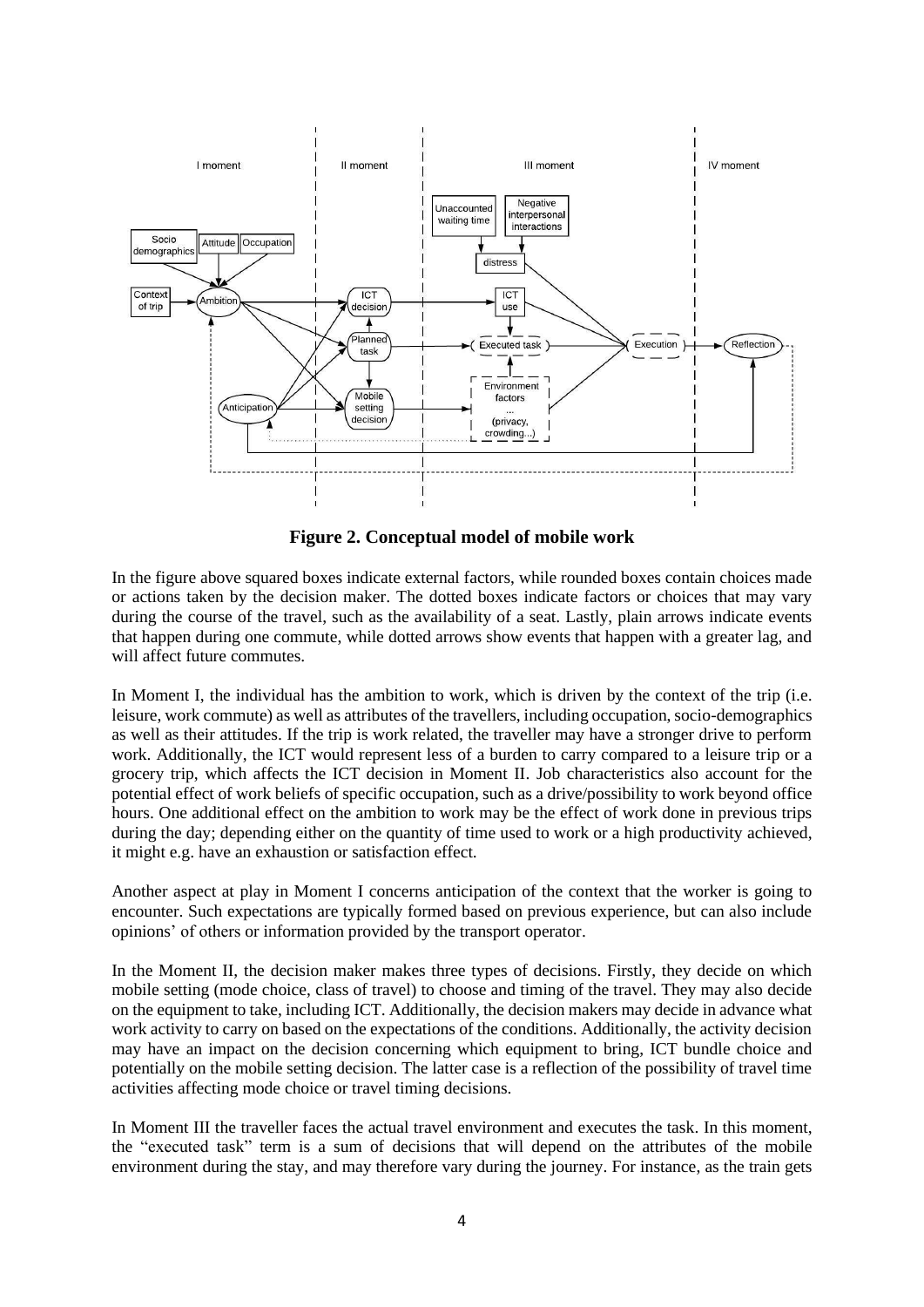

**Figure 2. Conceptual model of mobile work**

In the figure above squared boxes indicate external factors, while rounded boxes contain choices made or actions taken by the decision maker. The dotted boxes indicate factors or choices that may vary during the course of the travel, such as the availability of a seat. Lastly, plain arrows indicate events that happen during one commute, while dotted arrows show events that happen with a greater lag, and will affect future commutes.

In Moment I, the individual has the ambition to work, which is driven by the context of the trip (i.e. leisure, work commute) as well as attributes of the travellers, including occupation, socio-demographics as well as their attitudes. If the trip is work related, the traveller may have a stronger drive to perform work. Additionally, the ICT would represent less of a burden to carry compared to a leisure trip or a grocery trip, which affects the ICT decision in Moment II. Job characteristics also account for the potential effect of work beliefs of specific occupation, such as a drive/possibility to work beyond office hours. One additional effect on the ambition to work may be the effect of work done in previous trips during the day; depending either on the quantity of time used to work or a high productivity achieved, it might e.g. have an exhaustion or satisfaction effect.

Another aspect at play in Moment I concerns anticipation of the context that the worker is going to encounter. Such expectations are typically formed based on previous experience, but can also include opinions' of others or information provided by the transport operator.

In the Moment II, the decision maker makes three types of decisions. Firstly, they decide on which mobile setting (mode choice, class of travel) to choose and timing of the travel. They may also decide on the equipment to take, including ICT. Additionally, the decision makers may decide in advance what work activity to carry on based on the expectations of the conditions. Additionally, the activity decision may have an impact on the decision concerning which equipment to bring, ICT bundle choice and potentially on the mobile setting decision. The latter case is a reflection of the possibility of travel time activities affecting mode choice or travel timing decisions.

In Moment III the traveller faces the actual travel environment and executes the task. In this moment, the "executed task" term is a sum of decisions that will depend on the attributes of the mobile environment during the stay, and may therefore vary during the journey. For instance, as the train gets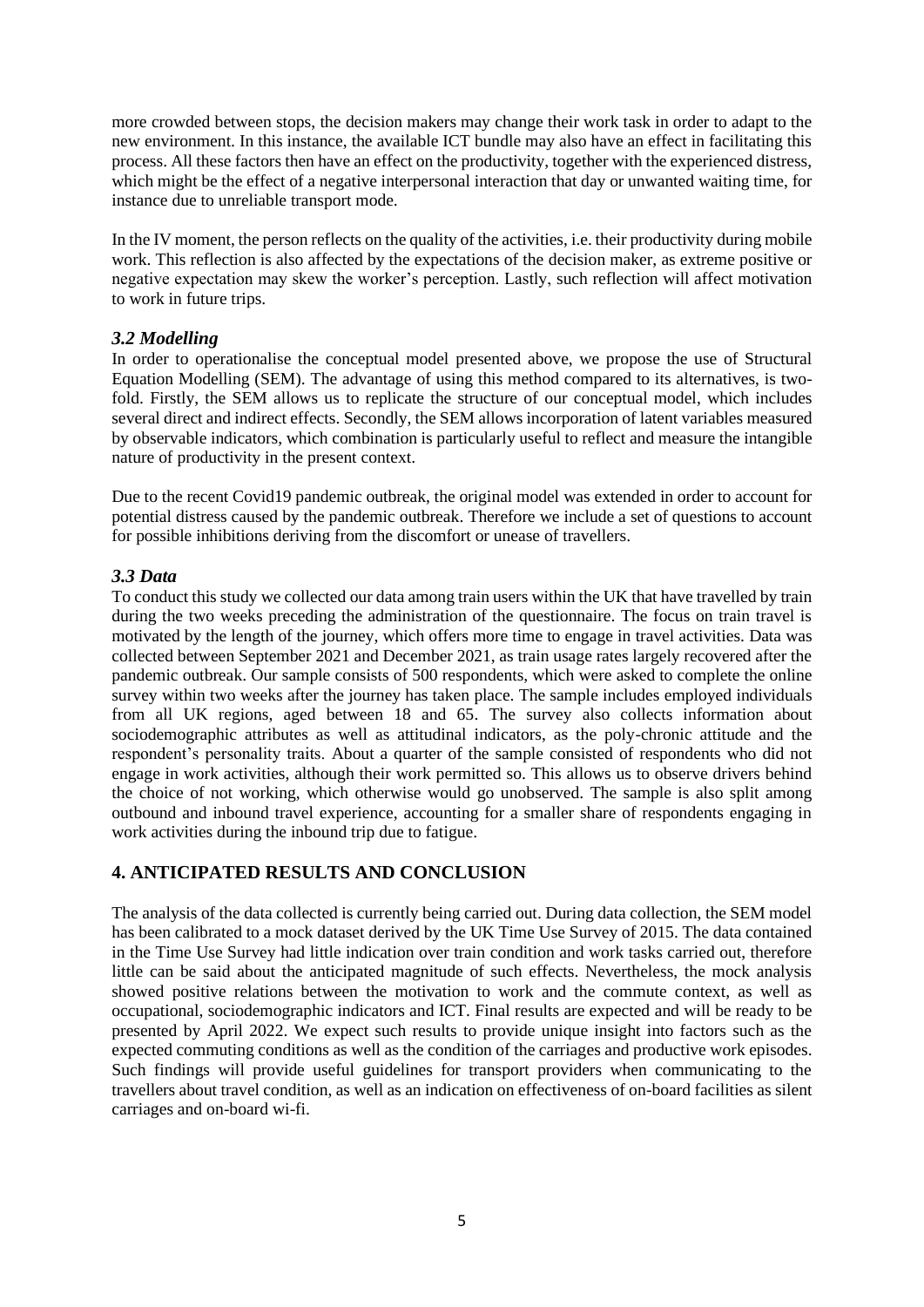more crowded between stops, the decision makers may change their work task in order to adapt to the new environment. In this instance, the available ICT bundle may also have an effect in facilitating this process. All these factors then have an effect on the productivity, together with the experienced distress, which might be the effect of a negative interpersonal interaction that day or unwanted waiting time, for instance due to unreliable transport mode.

In the IV moment, the person reflects on the quality of the activities, i.e. their productivity during mobile work. This reflection is also affected by the expectations of the decision maker, as extreme positive or negative expectation may skew the worker's perception. Lastly, such reflection will affect motivation to work in future trips.

## *3.2 Modelling*

In order to operationalise the conceptual model presented above, we propose the use of Structural Equation Modelling (SEM). The advantage of using this method compared to its alternatives, is twofold. Firstly, the SEM allows us to replicate the structure of our conceptual model, which includes several direct and indirect effects. Secondly, the SEM allows incorporation of latent variables measured by observable indicators, which combination is particularly useful to reflect and measure the intangible nature of productivity in the present context.

Due to the recent Covid19 pandemic outbreak, the original model was extended in order to account for potential distress caused by the pandemic outbreak. Therefore we include a set of questions to account for possible inhibitions deriving from the discomfort or unease of travellers.

### *3.3 Data*

To conduct this study we collected our data among train users within the UK that have travelled by train during the two weeks preceding the administration of the questionnaire. The focus on train travel is motivated by the length of the journey, which offers more time to engage in travel activities. Data was collected between September 2021 and December 2021, as train usage rates largely recovered after the pandemic outbreak. Our sample consists of 500 respondents, which were asked to complete the online survey within two weeks after the journey has taken place. The sample includes employed individuals from all UK regions, aged between 18 and 65. The survey also collects information about sociodemographic attributes as well as attitudinal indicators, as the poly-chronic attitude and the respondent's personality traits. About a quarter of the sample consisted of respondents who did not engage in work activities, although their work permitted so. This allows us to observe drivers behind the choice of not working, which otherwise would go unobserved. The sample is also split among outbound and inbound travel experience, accounting for a smaller share of respondents engaging in work activities during the inbound trip due to fatigue.

## **4. ANTICIPATED RESULTS AND CONCLUSION**

The analysis of the data collected is currently being carried out. During data collection, the SEM model has been calibrated to a mock dataset derived by the UK Time Use Survey of 2015. The data contained in the Time Use Survey had little indication over train condition and work tasks carried out, therefore little can be said about the anticipated magnitude of such effects. Nevertheless, the mock analysis showed positive relations between the motivation to work and the commute context, as well as occupational, sociodemographic indicators and ICT. Final results are expected and will be ready to be presented by April 2022. We expect such results to provide unique insight into factors such as the expected commuting conditions as well as the condition of the carriages and productive work episodes. Such findings will provide useful guidelines for transport providers when communicating to the travellers about travel condition, as well as an indication on effectiveness of on-board facilities as silent carriages and on-board wi-fi.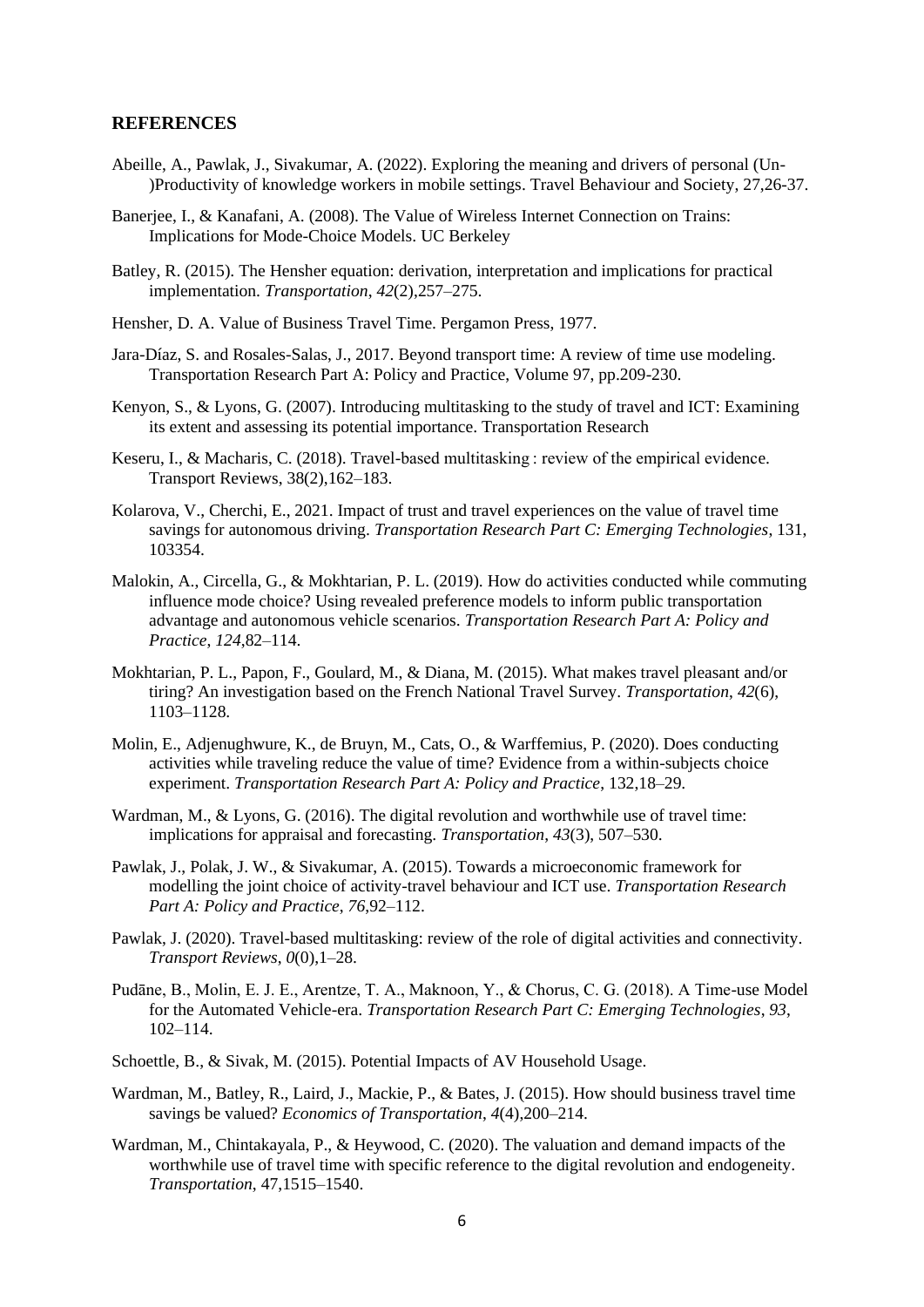#### **REFERENCES**

- Abeille, A., Pawlak, J., Sivakumar, A. (2022). Exploring the meaning and drivers of personal (Un- )Productivity of knowledge workers in mobile settings. Travel Behaviour and Society, 27,26-37.
- Banerjee, I., & Kanafani, A. (2008). The Value of Wireless Internet Connection on Trains: Implications for Mode-Choice Models. UC Berkeley
- Batley, R. (2015). The Hensher equation: derivation, interpretation and implications for practical implementation. *Transportation*, *42*(2),257–275.
- Hensher, D. A. Value of Business Travel Time. Pergamon Press, 1977.
- Jara-Díaz, S. and Rosales-Salas, J., 2017. Beyond transport time: A review of time use modeling. Transportation Research Part A: Policy and Practice, Volume 97, pp.209-230.
- Kenyon, S., & Lyons, G. (2007). Introducing multitasking to the study of travel and ICT: Examining its extent and assessing its potential importance. Transportation Research
- Keseru, I., & Macharis, C. (2018). Travel-based multitasking : review of the empirical evidence. Transport Reviews, 38(2),162–183.
- Kolarova, V., Cherchi, E., 2021. Impact of trust and travel experiences on the value of travel time savings for autonomous driving. *Transportation Research Part C: Emerging Technologies*, 131, 103354.
- Malokin, A., Circella, G., & Mokhtarian, P. L. (2019). How do activities conducted while commuting influence mode choice? Using revealed preference models to inform public transportation advantage and autonomous vehicle scenarios. *Transportation Research Part A: Policy and Practice*, *124*,82–114.
- Mokhtarian, P. L., Papon, F., Goulard, M., & Diana, M. (2015). What makes travel pleasant and/or tiring? An investigation based on the French National Travel Survey. *Transportation*, *42*(6), 1103–1128.
- Molin, E., Adjenughwure, K., de Bruyn, M., Cats, O., & Warffemius, P. (2020). Does conducting activities while traveling reduce the value of time? Evidence from a within-subjects choice experiment. *Transportation Research Part A: Policy and Practice*, 132,18–29.
- Wardman, M., & Lyons, G. (2016). The digital revolution and worthwhile use of travel time: implications for appraisal and forecasting. *Transportation*, *43*(3), 507–530.
- Pawlak, J., Polak, J. W., & Sivakumar, A. (2015). Towards a microeconomic framework for modelling the joint choice of activity-travel behaviour and ICT use. *Transportation Research Part A: Policy and Practice*, *76*,92–112.
- Pawlak, J. (2020). Travel-based multitasking: review of the role of digital activities and connectivity. *Transport Reviews*, *0*(0),1–28.
- Pudāne, B., Molin, E. J. E., Arentze, T. A., Maknoon, Y., & Chorus, C. G. (2018). A Time-use Model for the Automated Vehicle-era. *Transportation Research Part C: Emerging Technologies*, *93*, 102–114.
- Schoettle, B., & Sivak, M. (2015). Potential Impacts of AV Household Usage.
- Wardman, M., Batley, R., Laird, J., Mackie, P., & Bates, J. (2015). How should business travel time savings be valued? *Economics of Transportation*, *4*(4),200–214.
- Wardman, M., Chintakayala, P., & Heywood, C. (2020). The valuation and demand impacts of the worthwhile use of travel time with specific reference to the digital revolution and endogeneity. *Transportation*, 47,1515–1540.